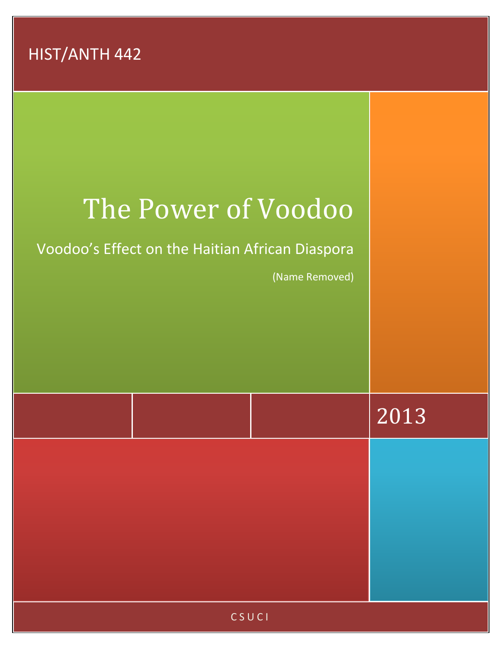HIST/ANTH 442

## The Power of Voodoo

Voodoo's Effect on the Haitian African Diaspora

(Name Removed)

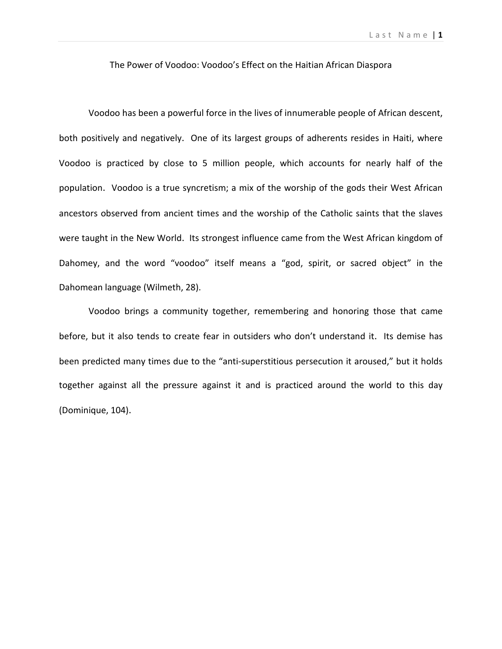## The Power of Voodoo: Voodoo's Effect on the Haitian African Diaspora

Voodoo has been a powerful force in the lives of innumerable people of African descent, both positively and negatively. One of its largest groups of adherents resides in Haiti, where Voodoo is practiced by close to 5 million people, which accounts for nearly half of the population. Voodoo is a true syncretism; a mix of the worship of the gods their West African ancestors observed from ancient times and the worship of the Catholic saints that the slaves were taught in the New World. Its strongest influence came from the West African kingdom of Dahomey, and the word "voodoo" itself means a "god, spirit, or sacred object" in the Dahomean language (Wilmeth, 28).

Voodoo brings a community together, remembering and honoring those that came before, but it also tends to create fear in outsiders who don't understand it. Its demise has been predicted many times due to the "anti-superstitious persecution it aroused," but it holds together against all the pressure against it and is practiced around the world to this day (Dominique, 104).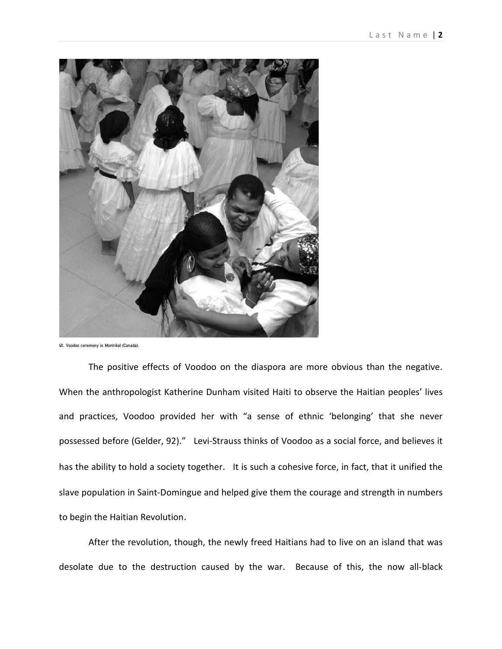

40. Voodoo ceremony in Montréal (Canada).

The positive effects of Voodoo on the diaspora are more obvious than the negative. When the anthropologist Katherine Dunham visited Haiti to observe the Haitian peoples' lives and practices, Voodoo provided her with "a sense of ethnic 'belonging' that she never possessed before (Gelder, 92)." Levi-Strauss thinks of Voodoo as a social force, and believes it has the ability to hold a society together. It is such a cohesive force, in fact, that it unified the slave population in Saint-Domingue and helped give them the courage and strength in numbers to begin the Haitian Revolution.

After the revolution, though, the newly freed Haitians had to live on an island that was desolate due to the destruction caused by the war. Because of this, the now all-black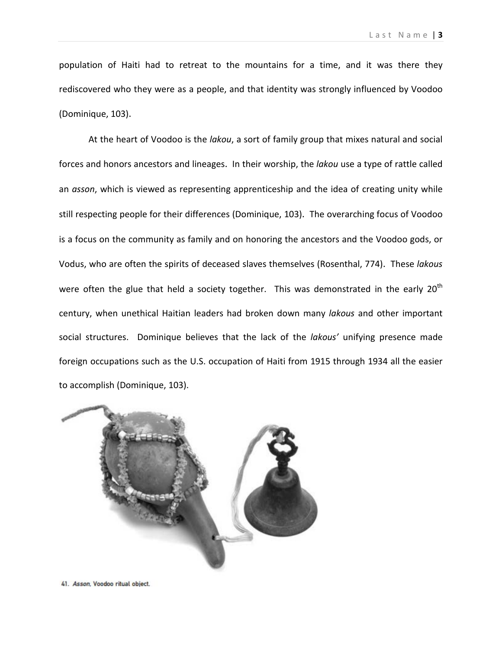population of Haiti had to retreat to the mountains for a time, and it was there they rediscovered who they were as a people, and that identity was strongly influenced by Voodoo (Dominique, 103).

At the heart of Voodoo is the *lakou*, a sort of family group that mixes natural and social forces and honors ancestors and lineages. In their worship, the *lakou* use a type of rattle called an *asson*, which is viewed as representing apprenticeship and the idea of creating unity while still respecting people for their differences (Dominique, 103). The overarching focus of Voodoo is a focus on the community as family and on honoring the ancestors and the Voodoo gods, or Vodus, who are often the spirits of deceased slaves themselves (Rosenthal, 774). These *lakous* were often the glue that held a society together. This was demonstrated in the early  $20<sup>th</sup>$ century, when unethical Haitian leaders had broken down many *lakous* and other important social structures. Dominique believes that the lack of the *lakous'* unifying presence made foreign occupations such as the U.S. occupation of Haiti from 1915 through 1934 all the easier to accomplish (Dominique, 103).



41. Asson, Voodoo ritual object.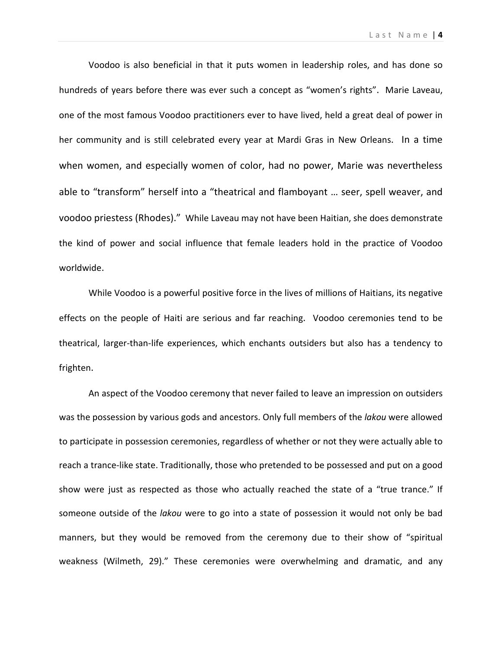Voodoo is also beneficial in that it puts women in leadership roles, and has done so hundreds of years before there was ever such a concept as "women's rights". Marie Laveau, one of the most famous Voodoo practitioners ever to have lived, held a great deal of power in her community and is still celebrated every year at Mardi Gras in New Orleans. In a time when women, and especially women of color, had no power, Marie was nevertheless able to "transform" herself into a "theatrical and flamboyant … seer, spell weaver, and voodoo priestess (Rhodes)." While Laveau may not have been Haitian, she does demonstrate the kind of power and social influence that female leaders hold in the practice of Voodoo worldwide.

While Voodoo is a powerful positive force in the lives of millions of Haitians, its negative effects on the people of Haiti are serious and far reaching. Voodoo ceremonies tend to be theatrical, larger-than-life experiences, which enchants outsiders but also has a tendency to frighten.

An aspect of the Voodoo ceremony that never failed to leave an impression on outsiders was the possession by various gods and ancestors. Only full members of the *lakou* were allowed to participate in possession ceremonies, regardless of whether or not they were actually able to reach a trance-like state. Traditionally, those who pretended to be possessed and put on a good show were just as respected as those who actually reached the state of a "true trance." If someone outside of the *lakou* were to go into a state of possession it would not only be bad manners, but they would be removed from the ceremony due to their show of "spiritual weakness (Wilmeth, 29)." These ceremonies were overwhelming and dramatic, and any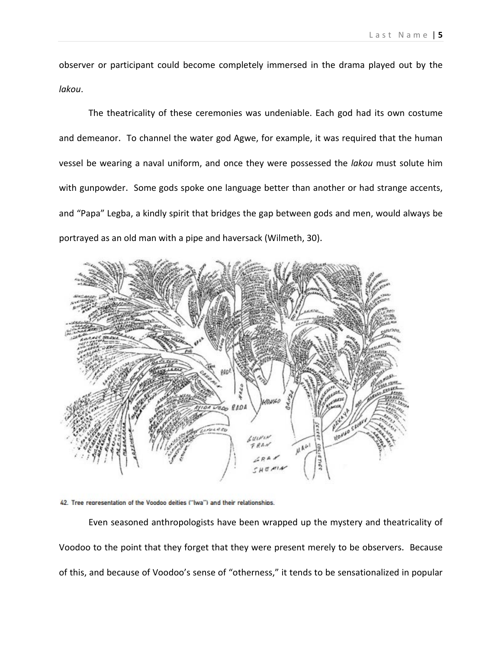observer or participant could become completely immersed in the drama played out by the *lakou*.

The theatricality of these ceremonies was undeniable. Each god had its own costume and demeanor. To channel the water god Agwe, for example, it was required that the human vessel be wearing a naval uniform, and once they were possessed the *lakou* must solute him with gunpowder. Some gods spoke one language better than another or had strange accents, and "Papa" Legba, a kindly spirit that bridges the gap between gods and men, would always be portrayed as an old man with a pipe and haversack (Wilmeth, 30).





Even seasoned anthropologists have been wrapped up the mystery and theatricality of Voodoo to the point that they forget that they were present merely to be observers. Because of this, and because of Voodoo's sense of "otherness," it tends to be sensationalized in popular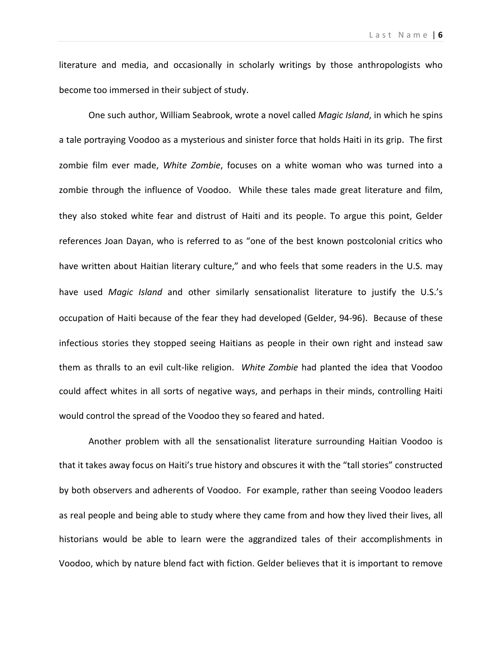literature and media, and occasionally in scholarly writings by those anthropologists who become too immersed in their subject of study.

One such author, William Seabrook, wrote a novel called *Magic Island*, in which he spins a tale portraying Voodoo as a mysterious and sinister force that holds Haiti in its grip. The first zombie film ever made, *White Zombie*, focuses on a white woman who was turned into a zombie through the influence of Voodoo. While these tales made great literature and film, they also stoked white fear and distrust of Haiti and its people. To argue this point, Gelder references Joan Dayan, who is referred to as "one of the best known postcolonial critics who have written about Haitian literary culture," and who feels that some readers in the U.S. may have used *Magic Island* and other similarly sensationalist literature to justify the U.S.'s occupation of Haiti because of the fear they had developed (Gelder, 94-96). Because of these infectious stories they stopped seeing Haitians as people in their own right and instead saw them as thralls to an evil cult-like religion. *White Zombie* had planted the idea that Voodoo could affect whites in all sorts of negative ways, and perhaps in their minds, controlling Haiti would control the spread of the Voodoo they so feared and hated.

Another problem with all the sensationalist literature surrounding Haitian Voodoo is that it takes away focus on Haiti's true history and obscures it with the "tall stories" constructed by both observers and adherents of Voodoo. For example, rather than seeing Voodoo leaders as real people and being able to study where they came from and how they lived their lives, all historians would be able to learn were the aggrandized tales of their accomplishments in Voodoo, which by nature blend fact with fiction. Gelder believes that it is important to remove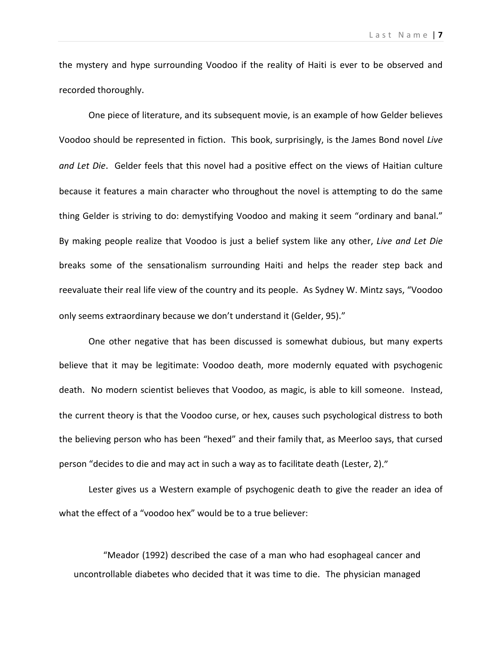the mystery and hype surrounding Voodoo if the reality of Haiti is ever to be observed and recorded thoroughly.

One piece of literature, and its subsequent movie, is an example of how Gelder believes Voodoo should be represented in fiction. This book, surprisingly, is the James Bond novel *Live and Let Die*. Gelder feels that this novel had a positive effect on the views of Haitian culture because it features a main character who throughout the novel is attempting to do the same thing Gelder is striving to do: demystifying Voodoo and making it seem "ordinary and banal." By making people realize that Voodoo is just a belief system like any other, *Live and Let Die* breaks some of the sensationalism surrounding Haiti and helps the reader step back and reevaluate their real life view of the country and its people. As Sydney W. Mintz says, "Voodoo only seems extraordinary because we don't understand it (Gelder, 95)."

One other negative that has been discussed is somewhat dubious, but many experts believe that it may be legitimate: Voodoo death, more modernly equated with psychogenic death. No modern scientist believes that Voodoo, as magic, is able to kill someone. Instead, the current theory is that the Voodoo curse, or hex, causes such psychological distress to both the believing person who has been "hexed" and their family that, as Meerloo says, that cursed person "decides to die and may act in such a way as to facilitate death (Lester, 2)."

Lester gives us a Western example of psychogenic death to give the reader an idea of what the effect of a "voodoo hex" would be to a true believer:

"Meador (1992) described the case of a man who had esophageal cancer and uncontrollable diabetes who decided that it was time to die. The physician managed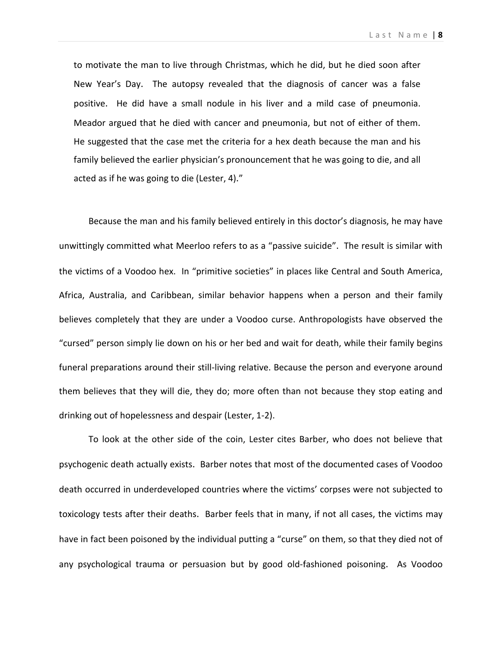L ast Name | **8**

to motivate the man to live through Christmas, which he did, but he died soon after New Year's Day. The autopsy revealed that the diagnosis of cancer was a false positive. He did have a small nodule in his liver and a mild case of pneumonia. Meador argued that he died with cancer and pneumonia, but not of either of them. He suggested that the case met the criteria for a hex death because the man and his family believed the earlier physician's pronouncement that he was going to die, and all acted as if he was going to die (Lester, 4)."

Because the man and his family believed entirely in this doctor's diagnosis, he may have unwittingly committed what Meerloo refers to as a "passive suicide". The result is similar with the victims of a Voodoo hex. In "primitive societies" in places like Central and South America, Africa, Australia, and Caribbean, similar behavior happens when a person and their family believes completely that they are under a Voodoo curse. Anthropologists have observed the "cursed" person simply lie down on his or her bed and wait for death, while their family begins funeral preparations around their still-living relative. Because the person and everyone around them believes that they will die, they do; more often than not because they stop eating and drinking out of hopelessness and despair (Lester, 1-2).

To look at the other side of the coin, Lester cites Barber, who does not believe that psychogenic death actually exists. Barber notes that most of the documented cases of Voodoo death occurred in underdeveloped countries where the victims' corpses were not subjected to toxicology tests after their deaths. Barber feels that in many, if not all cases, the victims may have in fact been poisoned by the individual putting a "curse" on them, so that they died not of any psychological trauma or persuasion but by good old-fashioned poisoning. As Voodoo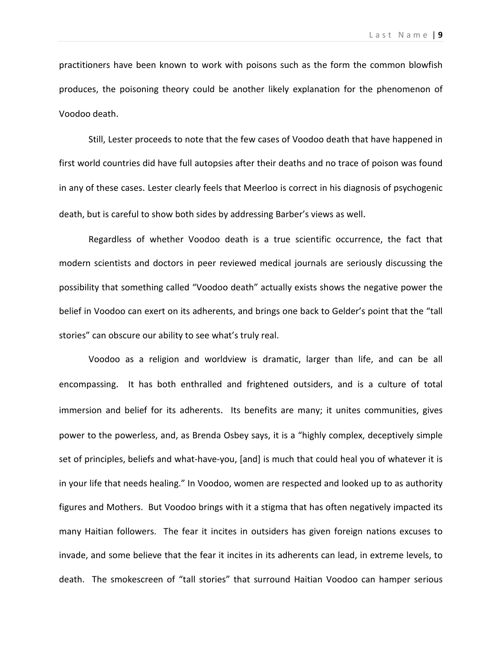practitioners have been known to work with poisons such as the form the common blowfish produces, the poisoning theory could be another likely explanation for the phenomenon of Voodoo death.

Still, Lester proceeds to note that the few cases of Voodoo death that have happened in first world countries did have full autopsies after their deaths and no trace of poison was found in any of these cases. Lester clearly feels that Meerloo is correct in his diagnosis of psychogenic death, but is careful to show both sides by addressing Barber's views as well.

Regardless of whether Voodoo death is a true scientific occurrence, the fact that modern scientists and doctors in peer reviewed medical journals are seriously discussing the possibility that something called "Voodoo death" actually exists shows the negative power the belief in Voodoo can exert on its adherents, and brings one back to Gelder's point that the "tall stories" can obscure our ability to see what's truly real.

Voodoo as a religion and worldview is dramatic, larger than life, and can be all encompassing. It has both enthralled and frightened outsiders, and is a culture of total immersion and belief for its adherents. Its benefits are many; it unites communities, gives power to the powerless, and, as Brenda Osbey says, it is a "highly complex, deceptively simple set of principles, beliefs and what-have-you, [and] is much that could heal you of whatever it is in your life that needs healing." In Voodoo, women are respected and looked up to as authority figures and Mothers. But Voodoo brings with it a stigma that has often negatively impacted its many Haitian followers. The fear it incites in outsiders has given foreign nations excuses to invade, and some believe that the fear it incites in its adherents can lead, in extreme levels, to death. The smokescreen of "tall stories" that surround Haitian Voodoo can hamper serious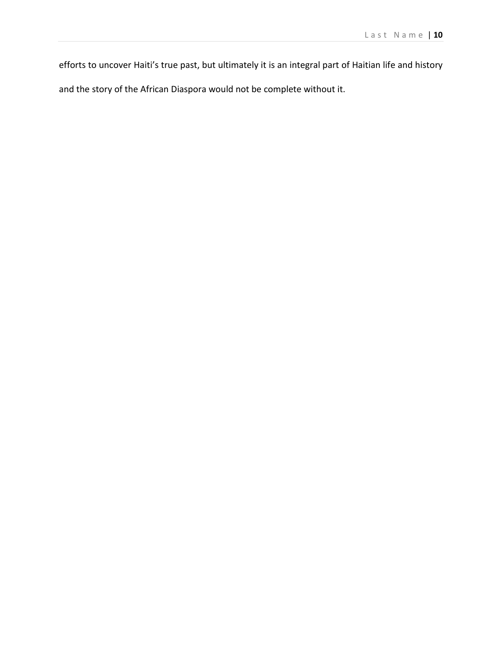efforts to uncover Haiti's true past, but ultimately it is an integral part of Haitian life and history and the story of the African Diaspora would not be complete without it.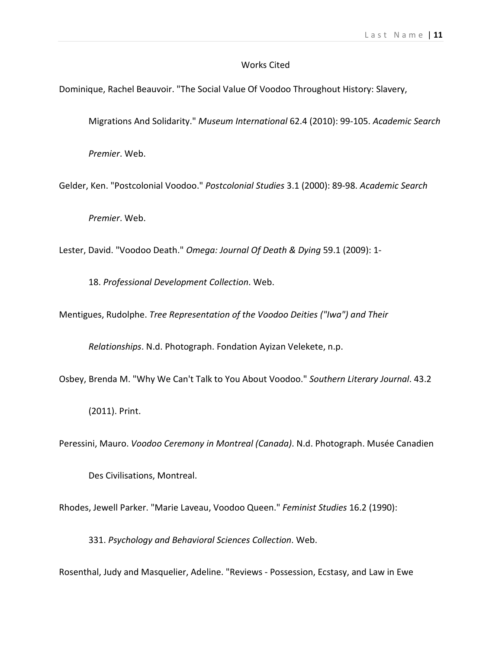## Works Cited

Dominique, Rachel Beauvoir. "The Social Value Of Voodoo Throughout History: Slavery,

Migrations And Solidarity." *Museum International* 62.4 (2010): 99-105. *Academic Search* 

*Premier*. Web.

Gelder, Ken. "Postcolonial Voodoo." *Postcolonial Studies* 3.1 (2000): 89-98. *Academic Search* 

*Premier*. Web.

Lester, David. "Voodoo Death." *Omega: Journal Of Death & Dying* 59.1 (2009): 1-

18. *Professional Development Collection*. Web.

Mentigues, Rudolphe. *Tree Representation of the Voodoo Deities ("Iwa") and Their* 

*Relationships*. N.d. Photograph. Fondation Ayizan Velekete, n.p.

Osbey, Brenda M. "Why We Can't Talk to You About Voodoo." *Southern Literary Journal*. 43.2

(2011). Print.

Peressini, Mauro. *Voodoo Ceremony in Montreal (Canada)*. N.d. Photograph. Musée Canadien

Des Civilisations, Montreal.

Rhodes, Jewell Parker. "Marie Laveau, Voodoo Queen." *Feminist Studies* 16.2 (1990):

331. *Psychology and Behavioral Sciences Collection*. Web.

Rosenthal, Judy and Masquelier, Adeline. "Reviews - Possession, Ecstasy, and Law in Ewe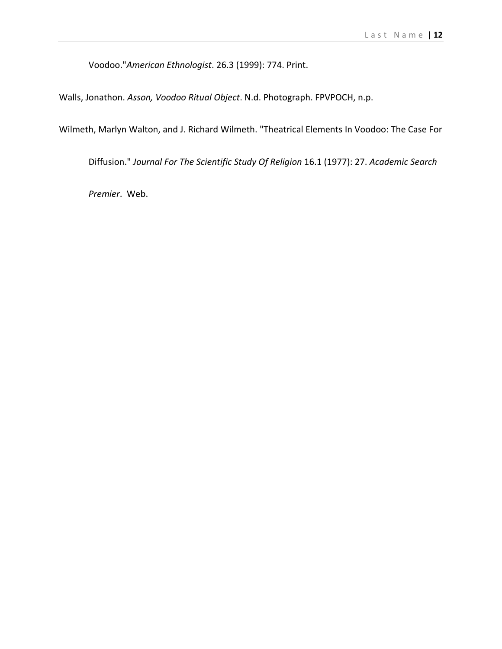Voodoo."*American Ethnologist*. 26.3 (1999): 774. Print.

Walls, Jonathon. *Asson, Voodoo Ritual Object*. N.d. Photograph. FPVPOCH, n.p.

Wilmeth, Marlyn Walton, and J. Richard Wilmeth. "Theatrical Elements In Voodoo: The Case For

Diffusion." *Journal For The Scientific Study Of Religion* 16.1 (1977): 27. *Academic Search* 

*Premier*. Web.